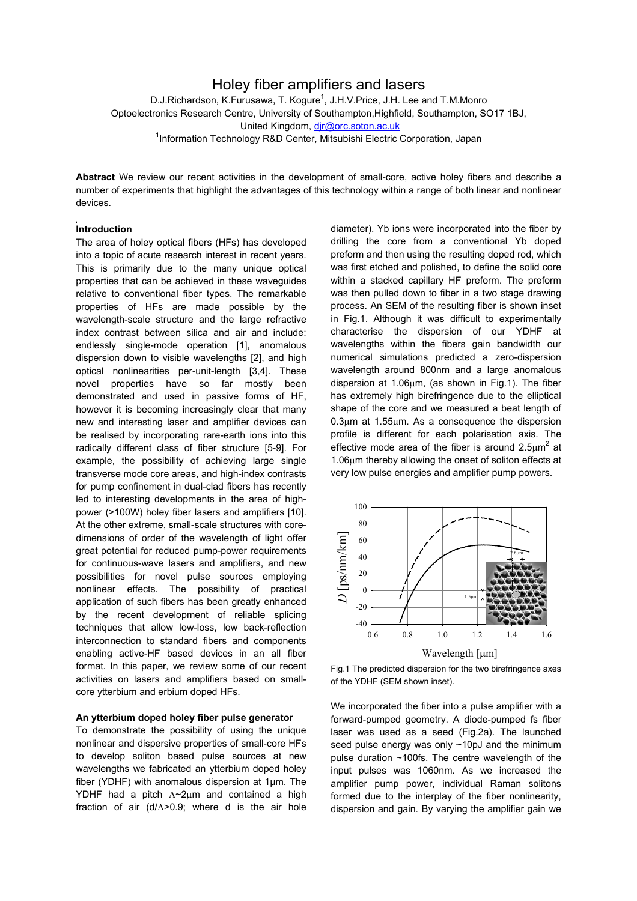## Holey fiber amplifiers and lasers

D.J.Richardson, K.Furusawa, T. Kogure<sup>1</sup>, J.H.V.Price, J.H. Lee and T.M.Monro Optoelectronics Research Centre, University of Southampton,Highfield, Southampton, SO17 1BJ, United Kingdom, [djr@orc.soton.ac.uk](mailto:djr@orc.soton.ac.uk) <sup>1</sup>Information Technology R&D Center, Mitsubishi Electric Corporation, Japan

**Abstract** We review our recent activities in the development of small-core, active holey fibers and describe a number of experiments that highlight the advantages of this technology within a range of both linear and nonlinear devices.

### **Introduction**

The area of holey optical fibers (HFs) has developed into a topic of acute research interest in recent years. This is primarily due to the many unique optical properties that can be achieved in these waveguides relative to conventional fiber types. The remarkable properties of HFs are made possible by the wavelength-scale structure and the large refractive index contrast between silica and air and include: endlessly single-mode operation [1], anomalous dispersion down to visible wavelengths [2], and high optical nonlinearities per-unit-length [3,4]. These novel properties have so far mostly been demonstrated and used in passive forms of HF, however it is becoming increasingly clear that many new and interesting laser and amplifier devices can be realised by incorporating rare-earth ions into this radically different class of fiber structure [5-9]. For example, the possibility of achieving large single transverse mode core areas, and high-index contrasts for pump confinement in dual-clad fibers has recently led to interesting developments in the area of highpower (>100W) holey fiber lasers and amplifiers [10]. At the other extreme, small-scale structures with coredimensions of order of the wavelength of light offer great potential for reduced pump-power requirements for continuous-wave lasers and amplifiers, and new possibilities for novel pulse sources employing nonlinear effects. The possibility of practical application of such fibers has been greatly enhanced by the recent development of reliable splicing techniques that allow low-loss, low back-reflection interconnection to standard fibers and components enabling active-HF based devices in an all fiber format. In this paper, we review some of our recent activities on lasers and amplifiers based on smallcore ytterbium and erbium doped HFs.

### **An ytterbium doped holey fiber pulse generator**

To demonstrate the possibility of using the unique nonlinear and dispersive properties of small-core HFs to develop soliton based pulse sources at new wavelengths we fabricated an ytterbium doped holey fiber (YDHF) with anomalous dispersion at 1µm. The YDHF had a pitch Λ~2µm and contained a high fraction of air (d/Λ>0.9; where d is the air hole

diameter). Yb ions were incorporated into the fiber by drilling the core from a conventional Yb doped preform and then using the resulting doped rod, which was first etched and polished, to define the solid core within a stacked capillary HF preform. The preform was then pulled down to fiber in a two stage drawing process. An SEM of the resulting fiber is shown inset in Fig.1. Although it was difficult to experimentally characterise the dispersion of our YDHF at wavelengths within the fibers gain bandwidth our numerical simulations predicted a zero-dispersion wavelength around 800nm and a large anomalous dispersion at 1.06µm, (as shown in Fig.1). The fiber has extremely high birefringence due to the elliptical shape of the core and we measured a beat length of 0.3µm at 1.55µm. As a consequence the dispersion profile is different for each polarisation axis. The effective mode area of the fiber is around 2.5 $\mu$ m<sup>2</sup> at 1.06µm thereby allowing the onset of soliton effects at very low pulse energies and amplifier pump powers.



Fig.1 The predicted dispersion for the two birefringence axes of the YDHF (SEM shown inset).

We incorporated the fiber into a pulse amplifier with a forward-pumped geometry. A diode-pumped fs fiber laser was used as a seed (Fig.2a). The launched seed pulse energy was only ~10pJ and the minimum pulse duration ~100fs. The centre wavelength of the input pulses was 1060nm. As we increased the amplifier pump power, individual Raman solitons formed due to the interplay of the fiber nonlinearity, dispersion and gain. By varying the amplifier gain we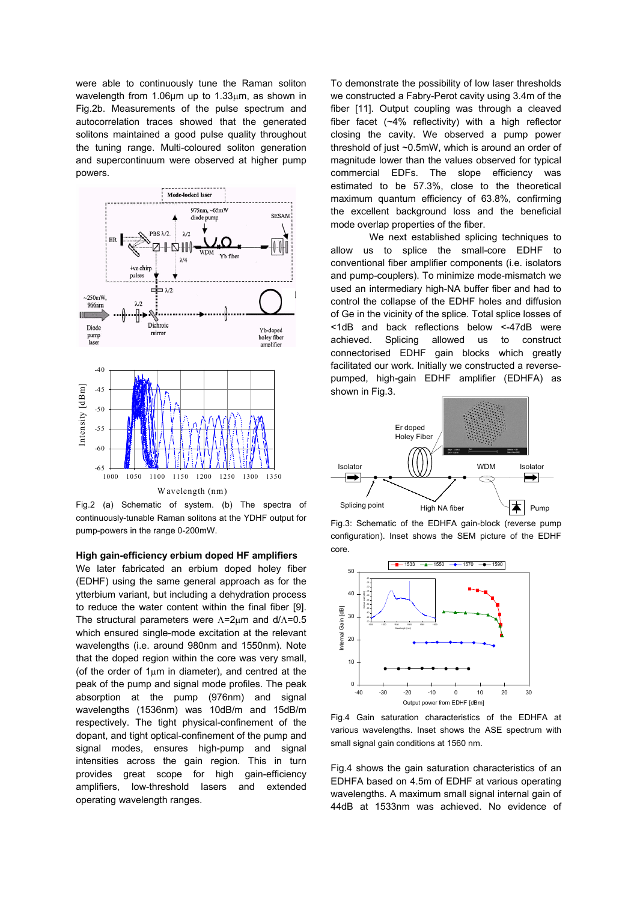were able to continuously tune the Raman soliton wavelength from 1.06um up to 1.33um, as shown in Fig.2b. Measurements of the pulse spectrum and autocorrelation traces showed that the generated solitons maintained a good pulse quality throughout the tuning range. Multi-coloured soliton generation and supercontinuum were observed at higher pump powers.



Fig.2 (a) Schematic of system. (b) The spectra of Splicing point  $H$  High NA fiber continuously-tunable Raman solitons at the YDHF output for

# core. **High gain-efficiency erbium doped HF amplifiers**

We later fabricated an erbium doped holey fiber (EDHF) using the same general approach as for the ytterbium variant, but including a dehydration process to reduce the water content within the final fiber [9]. The structural parameters were Λ=2µm and d/Λ=0.5 which ensured single-mode excitation at the relevant wavelengths (i.e. around 980nm and 1550nm). Note that the doped region within the core was very small, (of the order of  $1\mu$ m in diameter), and centred at the peak of the pump and signal mode profiles. The peak absorption at the pump (976nm) and signal wavelengths (1536nm) was 10dB/m and 15dB/m respectively. The tight physical-confinement of the dopant, and tight optical-confinement of the pump and signal modes, ensures high-pump and signal intensities across the gain region. This in turn provides great scope for high gain-efficiency amplifiers, low-threshold lasers and extended operating wavelength ranges.

To demonstrate the possibility of low laser thresholds we constructed a Fabry-Perot cavity using 3.4m of the fiber [11]. Output coupling was through a cleaved fiber facet (~4% reflectivity) with a high reflector closing the cavity. We observed a pump power threshold of just ~0.5mW, which is around an order of magnitude lower than the values observed for typical commercial EDFs. The slope efficiency was estimated to be 57.3%, close to the theoretical maximum quantum efficiency of 63.8%, confirming the excellent background loss and the beneficial mode overlap properties of the fiber.

We next established splicing techniques to allow us to splice the small-core EDHF to conventional fiber amplifier components (i.e. isolators and pump-couplers). To minimize mode-mismatch we used an intermediary high-NA buffer fiber and had to control the collapse of the EDHF holes and diffusion of Ge in the vicinity of the splice. Total splice losses of <1dB and back reflections below <-47dB were achieved. Splicing allowed us to construct connectorised EDHF gain blocks which greatly facilitated our work. Initially we constructed a reversepumped, high-gain EDHF amplifier (EDHFA) as shown in Fig.3.



pump-powers in the range 0-200mW.<br>Fig.3: Schematic of the EDHFA gain-block (reverse pump<br>Fig.3: Schematical Jacob the EDHFA gain-block (reverse pump configuration). Inset shows the SEM picture of the EDHF



Fig.4 Gain saturation characteristics of the EDHFA at various wavelengths. Inset shows the ASE spectrum with small signal gain conditions at 1560 nm.

Fig.4 shows the gain saturation characteristics of an EDHFA based on 4.5m of EDHF at various operating wavelengths. A maximum small signal internal gain of 44dB at 1533nm was achieved. No evidence of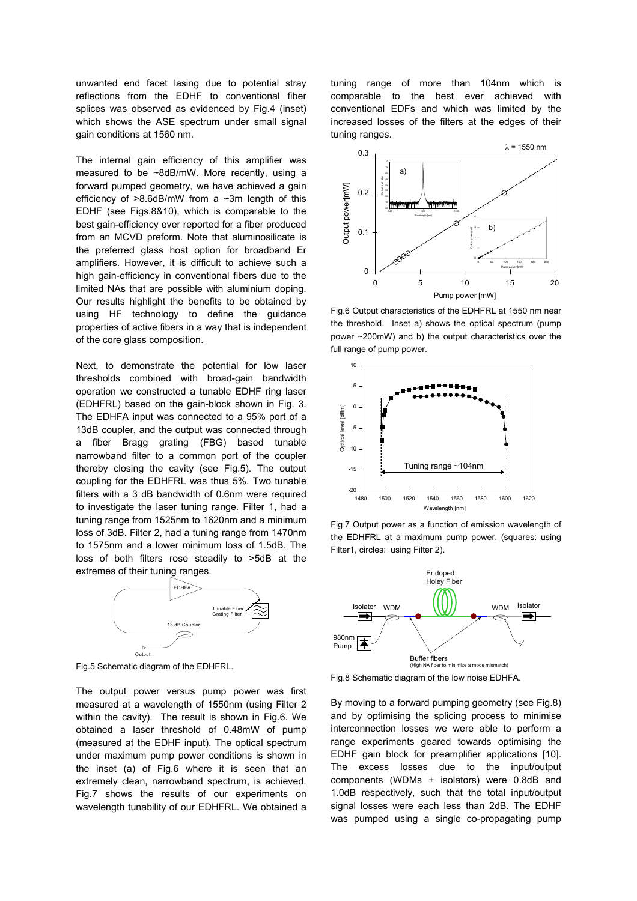unwanted end facet lasing due to potential stray reflections from the EDHF to conventional fiber splices was observed as evidenced by Fig.4 (inset) which shows the ASE spectrum under small signal gain conditions at 1560 nm.

The internal gain efficiency of this amplifier was measured to be ~8dB/mW. More recently, using a forward pumped geometry, we have achieved a gain efficiency of  $>8.6$ dB/mW from a  $\sim$ 3m length of this EDHF (see Figs.8&10), which is comparable to the best gain-efficiency ever reported for a fiber produced from an MCVD preform. Note that aluminosilicate is the preferred glass host option for broadband Er amplifiers. However, it is difficult to achieve such a high gain-efficiency in conventional fibers due to the limited NAs that are possible with aluminium doping. Our results highlight the benefits to be obtained by using HF technology to define the guidance properties of active fibers in a way that is independent of the core glass composition.

Next, to demonstrate the potential for low laser thresholds combined with broad-gain bandwidth operation we constructed a tunable EDHF ring laser (EDHFRL) based on the gain-block shown in Fig. 3. The EDHFA input was connected to a 95% port of a 13dB coupler, and the output was connected through a fiber Bragg grating (FBG) based tunable narrowband filter to a common port of the coupler thereby closing the cavity (see Fig.5). The output coupling for the EDHFRL was thus 5%. Two tunable filters with a 3 dB bandwidth of 0.6nm were required to investigate the laser tuning range. Filter 1, had a tuning range from 1525nm to 1620nm and a minimum loss of 3dB. Filter 2, had a tuning range from 1470nm to 1575nm and a lower minimum loss of 1.5dB. The loss of both filters rose steadily to >5dB at the extremes of their tuning ranges.



Fig.5 Schematic diagram of the EDHFRL.

The output power versus pump power was first measured at a wavelength of 1550nm (using Filter 2 within the cavity). The result is shown in Fig.6. We obtained a laser threshold of 0.48mW of pump (measured at the EDHF input). The optical spectrum under maximum pump power conditions is shown in the inset (a) of Fig.6 where it is seen that an extremely clean, narrowband spectrum, is achieved. Fig.7 shows the results of our experiments on wavelength tunability of our EDHFRL. We obtained a

tuning range of more than 104nm which is comparable to the best ever achieved with conventional EDFs and which was limited by the increased losses of the filters at the edges of their tuning ranges.



Fig.6 Output characteristics of the EDHFRL at 1550 nm near the threshold. Inset a) shows the optical spectrum (pump power ~200mW) and b) the output characteristics over the full range of pump power.



Fig.7 Output power as a function of emission wavelength of the EDHFRL at a maximum pump power. (squares: using Filter1, circles: using Filter 2).



Fig.8 Schematic diagram of the low noise EDHFA.

By moving to a forward pumping geometry (see Fig.8) and by optimising the splicing process to minimise interconnection losses we were able to perform a range experiments geared towards optimising the EDHF gain block for preamplifier applications [10]. The excess losses due to the input/output components (WDMs + isolators) were 0.8dB and 1.0dB respectively, such that the total input/output signal losses were each less than 2dB. The EDHF was pumped using a single co-propagating pump